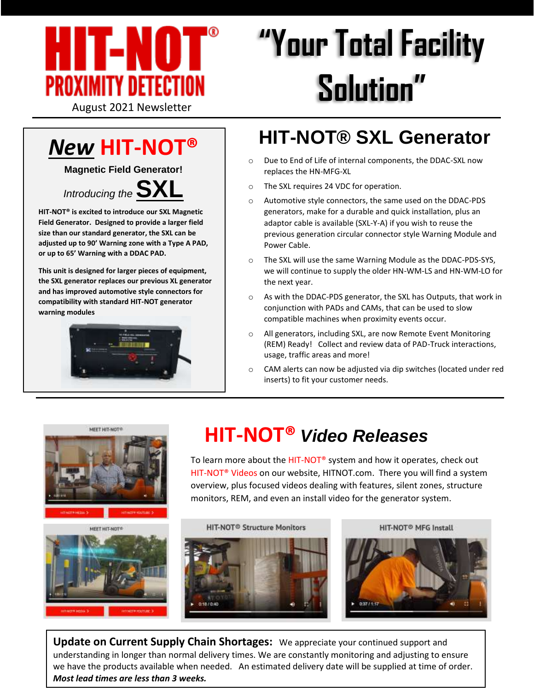

# **"Your Total Facility Solution"**

# *New* **HIT-NOT®**

**Magnetic Field Generator!**



**HIT-NOT® is excited to introduce our SXL Magnetic Field Generator. Designed to provide a larger field size than our standard generator, the SXL can be adjusted up to 90' Warning zone with a Type A PAD, or up to 65' Warning with a DDAC PAD.**

**This unit is designed for larger pieces of equipment, the SXL generator replaces our previous XL generator and has improved automotive style connectors for compatibility with standard HIT-NOT generator warning modules**



## **HIT-NOT® SXL Generator**

- o Due to End of Life of internal components, the DDAC-SXL now replaces the HN-MFG-XL
- o The SXL requires 24 VDC for operation.
- o Automotive style connectors, the same used on the DDAC-PDS generators, make for a durable and quick installation, plus an adaptor cable is available (SXL-Y-A) if you wish to reuse the previous generation circular connector style Warning Module and Power Cable.
- o The SXL will use the same Warning Module as the DDAC-PDS-SYS, we will continue to supply the older HN-WM-LS and HN-WM-LO for the next year.
- o As with the DDAC-PDS generator, the SXL has Outputs, that work in conjunction with PADs and CAMs, that can be used to slow compatible machines when proximity events occur.
- All generators, including SXL, are now Remote Event Monitoring (REM) Ready! Collect and review data of PAD-Truck interactions, usage, traffic areas and more!
- o CAM alerts can now be adjusted via dip switches (located under red inserts) to fit your customer needs.



MEET HIT-NOT®





# **HIT-NOT®** *Video Releases*

To learn more about the HIT-NOT® system and how it operates, check out HIT-NOT® Videos on our website, HITNOT.com. There you will find a system overview, plus focused videos dealing with features, silent zones, structure monitors, REM, and even an install video for the generator system.





HIT-NOT<sup>®</sup> MFG Install



**Update on Current Supply Chain Shortages:** We appreciate your continued support and understanding in longer than normal delivery times. We are constantly monitoring and adjusting to ensure we have the products available when needed. An estimated delivery date will be supplied at time of order. *Most lead times are less than 3 weeks.*